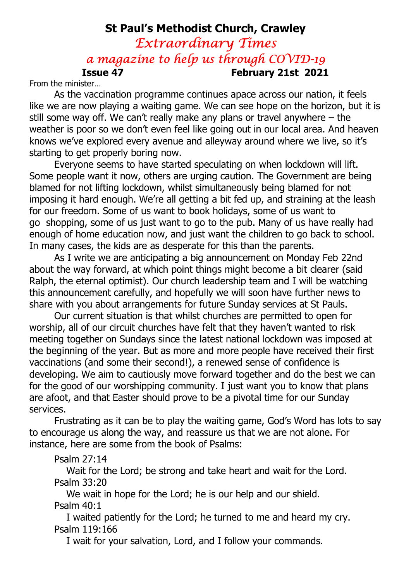# St Paul's Methodist Church, Crawley Extraordinary Times a magazine to help us through COVID-19 Issue 47 February 21st 2021

From the minister…

As the vaccination programme continues apace across our nation, it feels like we are now playing a waiting game. We can see hope on the horizon, but it is still some way off. We can't really make any plans or travel anywhere – the weather is poor so we don't even feel like going out in our local area. And heaven knows we've explored every avenue and alleyway around where we live, so it's starting to get properly boring now.

Everyone seems to have started speculating on when lockdown will lift. Some people want it now, others are urging caution. The Government are being blamed for not lifting lockdown, whilst simultaneously being blamed for not imposing it hard enough. We're all getting a bit fed up, and straining at the leash for our freedom. Some of us want to book holidays, some of us want to go shopping, some of us just want to go to the pub. Many of us have really had enough of home education now, and just want the children to go back to school. In many cases, the kids are as desperate for this than the parents.

As I write we are anticipating a big announcement on Monday Feb 22nd about the way forward, at which point things might become a bit clearer (said Ralph, the eternal optimist). Our church leadership team and I will be watching this announcement carefully, and hopefully we will soon have further news to share with you about arrangements for future Sunday services at St Pauls.

Our current situation is that whilst churches are permitted to open for worship, all of our circuit churches have felt that they haven't wanted to risk meeting together on Sundays since the latest national lockdown was imposed at the beginning of the year. But as more and more people have received their first vaccinations (and some their second!), a renewed sense of confidence is developing. We aim to cautiously move forward together and do the best we can for the good of our worshipping community. I just want you to know that plans are afoot, and that Easter should prove to be a pivotal time for our Sunday services.

Frustrating as it can be to play the waiting game, God's Word has lots to say to encourage us along the way, and reassure us that we are not alone. For instance, here are some from the book of Psalms:

#### Psalm 27:14

 Wait for the Lord; be strong and take heart and wait for the Lord. Psalm 33:20

 We wait in hope for the Lord; he is our help and our shield. Psalm 40:1

 I waited patiently for the Lord; he turned to me and heard my cry. Psalm 119:166

I wait for your salvation, Lord, and I follow your commands.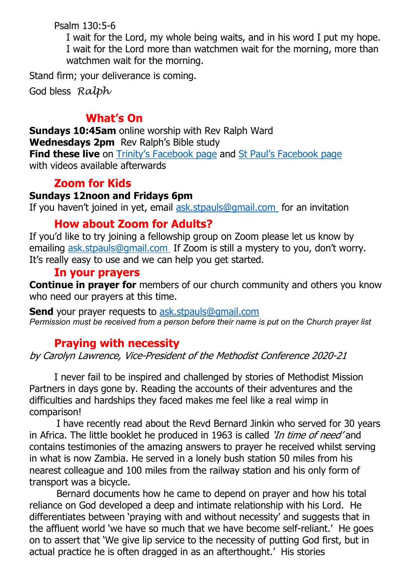Psalm 130:5-6

 I wait for the Lord, my whole being waits, and in his word I put my hope. I wait for the Lord more than watchmen wait for the morning, more than watchmen wait for the morning.

Stand firm; your deliverance is coming.

God bless Ralph

### What's On

Sundays 10:45am online worship with Rev Ralph Ward Wednesdays 2pm Rev Ralph's Bible study **Find these live** on Trinity's Facebook page and St Paul's Facebook page with videos available afterwards

## Zoom for Kids

#### Sundays 12noon and Fridays 6pm

If you haven't joined in yet, email ask.stpauls@gmail.com for an invitation

### How about Zoom for Adults?

If you'd like to try joining a fellowship group on Zoom please let us know by emailing ask.stpauls@gmail.com If Zoom is still a mystery to you, don't worry. It's really easy to use and we can help you get started.

### In your prayers

Continue in prayer for members of our church community and others you know who need our prayers at this time.

Send your prayer requests to ask.stpauls@gmail.com Permission must be received from a person before their name is put on the Church prayer list

### Praying with necessity

by Carolyn Lawrence, Vice-President of the Methodist Conference 2020-21

I never fail to be inspired and challenged by stories of Methodist Mission Partners in days gone by. Reading the accounts of their adventures and the difficulties and hardships they faced makes me feel like a real wimp in comparison!

 I have recently read about the Revd Bernard Jinkin who served for 30 years in Africa. The little booklet he produced in 1963 is called '*In time of need'* and contains testimonies of the amazing answers to prayer he received whilst serving in what is now Zambia. He served in a lonely bush station 50 miles from his nearest colleague and 100 miles from the railway station and his only form of transport was a bicycle.

 Bernard documents how he came to depend on prayer and how his total reliance on God developed a deep and intimate relationship with his Lord. He differentiates between 'praying with and without necessity' and suggests that in the affluent world 'we have so much that we have become self-reliant.' He goes on to assert that 'We give lip service to the necessity of putting God first, but in actual practice he is often dragged in as an afterthought.' His stories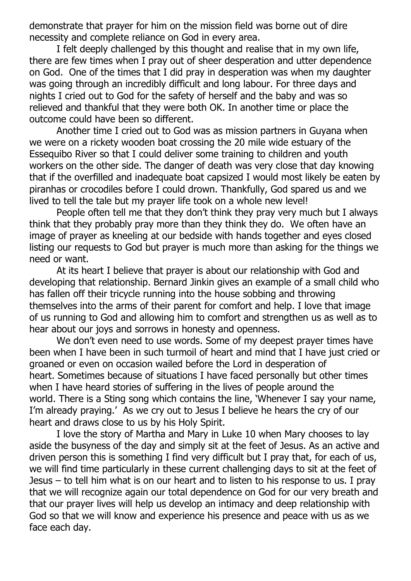demonstrate that prayer for him on the mission field was borne out of dire necessity and complete reliance on God in every area.

 I felt deeply challenged by this thought and realise that in my own life, there are few times when I pray out of sheer desperation and utter dependence on God. One of the times that I did pray in desperation was when my daughter was going through an incredibly difficult and long labour. For three days and nights I cried out to God for the safety of herself and the baby and was so relieved and thankful that they were both OK. In another time or place the outcome could have been so different.

 Another time I cried out to God was as mission partners in Guyana when we were on a rickety wooden boat crossing the 20 mile wide estuary of the Essequibo River so that I could deliver some training to children and youth workers on the other side. The danger of death was very close that day knowing that if the overfilled and inadequate boat capsized I would most likely be eaten by piranhas or crocodiles before I could drown. Thankfully, God spared us and we lived to tell the tale but my prayer life took on a whole new level!

 People often tell me that they don't think they pray very much but I always think that they probably pray more than they think they do. We often have an image of prayer as kneeling at our bedside with hands together and eyes closed listing our requests to God but prayer is much more than asking for the things we need or want.

 At its heart I believe that prayer is about our relationship with God and developing that relationship. Bernard Jinkin gives an example of a small child who has fallen off their tricycle running into the house sobbing and throwing themselves into the arms of their parent for comfort and help. I love that image of us running to God and allowing him to comfort and strengthen us as well as to hear about our joys and sorrows in honesty and openness.

 We don't even need to use words. Some of my deepest prayer times have been when I have been in such turmoil of heart and mind that I have just cried or groaned or even on occasion wailed before the Lord in desperation of heart. Sometimes because of situations I have faced personally but other times when I have heard stories of suffering in the lives of people around the world. There is a Sting song which contains the line, 'Whenever I say your name, I'm already praying.' As we cry out to Jesus I believe he hears the cry of our heart and draws close to us by his Holy Spirit.

 I love the story of Martha and Mary in Luke 10 when Mary chooses to lay aside the busyness of the day and simply sit at the feet of Jesus. As an active and driven person this is something I find very difficult but I pray that, for each of us, we will find time particularly in these current challenging days to sit at the feet of Jesus – to tell him what is on our heart and to listen to his response to us. I pray that we will recognize again our total dependence on God for our very breath and that our prayer lives will help us develop an intimacy and deep relationship with God so that we will know and experience his presence and peace with us as we face each day.